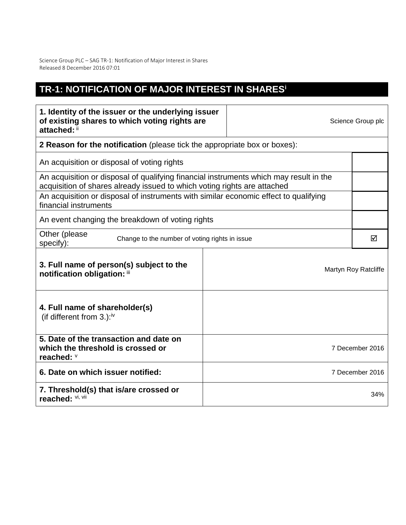Science Group PLC – SAG TR-1: Notification of Major Interest in Shares Released 8 December 2016 07:01

## **TR-1: NOTIFICATION OF MAJOR INTEREST IN SHARES<sup>i</sup>**

| 1. Identity of the issuer or the underlying issuer<br>of existing shares to which voting rights are<br>attached: ii                                                |                                                                           | Science Group plc |                      |  |  |
|--------------------------------------------------------------------------------------------------------------------------------------------------------------------|---------------------------------------------------------------------------|-------------------|----------------------|--|--|
|                                                                                                                                                                    | 2 Reason for the notification (please tick the appropriate box or boxes): |                   |                      |  |  |
| An acquisition or disposal of voting rights                                                                                                                        |                                                                           |                   |                      |  |  |
| An acquisition or disposal of qualifying financial instruments which may result in the<br>acquisition of shares already issued to which voting rights are attached |                                                                           |                   |                      |  |  |
| An acquisition or disposal of instruments with similar economic effect to qualifying<br>financial instruments                                                      |                                                                           |                   |                      |  |  |
| An event changing the breakdown of voting rights                                                                                                                   |                                                                           |                   |                      |  |  |
| Other (please<br>Change to the number of voting rights in issue<br>specify):                                                                                       |                                                                           |                   | ☑                    |  |  |
| 3. Full name of person(s) subject to the<br>notification obligation: iii                                                                                           |                                                                           |                   | Martyn Roy Ratcliffe |  |  |
| 4. Full name of shareholder(s)<br>(if different from $3.$ ): <sup>iv</sup>                                                                                         |                                                                           |                   |                      |  |  |
| 5. Date of the transaction and date on<br>which the threshold is crossed or<br>reached: V                                                                          |                                                                           | 7 December 2016   |                      |  |  |
| 6. Date on which issuer notified:                                                                                                                                  |                                                                           | 7 December 2016   |                      |  |  |
| 7. Threshold(s) that is/are crossed or<br>reached: VI, VII                                                                                                         |                                                                           | 34%               |                      |  |  |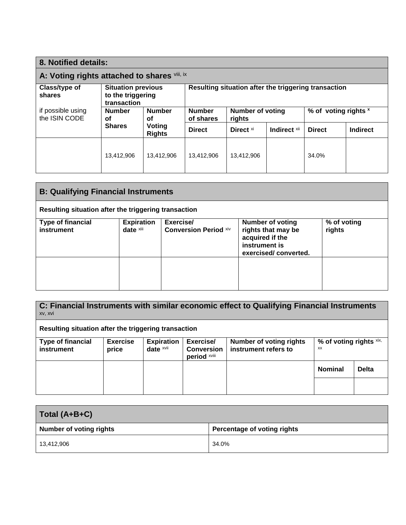| 8. Notified details:                                                             |                                                               |                            |                                                      |                      |                      |               |          |
|----------------------------------------------------------------------------------|---------------------------------------------------------------|----------------------------|------------------------------------------------------|----------------------|----------------------|---------------|----------|
| A: Voting rights attached to shares vili, ix                                     |                                                               |                            |                                                      |                      |                      |               |          |
| Class/type of<br>shares                                                          | <b>Situation previous</b><br>to the triggering<br>transaction |                            | Resulting situation after the triggering transaction |                      |                      |               |          |
| <b>Number</b><br>if possible using<br><b>Number</b><br>the ISIN CODE<br>οf<br>οf |                                                               | <b>Number</b><br>of shares | <b>Number of voting</b><br>rights                    |                      | % of voting rights x |               |          |
|                                                                                  | <b>Shares</b>                                                 | Voting<br><b>Rights</b>    | <b>Direct</b>                                        | Direct <sup>xi</sup> | Indirect Xii         | <b>Direct</b> | Indirect |
|                                                                                  | 13,412,906                                                    | 13,412,906                 | 13.412.906                                           | 13,412,906           |                      | 34.0%         |          |

| <b>B: Qualifying Financial Instruments</b>           |                                |                                           |                                                                                                           |                       |
|------------------------------------------------------|--------------------------------|-------------------------------------------|-----------------------------------------------------------------------------------------------------------|-----------------------|
| Resulting situation after the triggering transaction |                                |                                           |                                                                                                           |                       |
| <b>Type of financial</b><br>instrument               | <b>Expiration</b><br>date xiii | Exercise/<br><b>Conversion Period Xiv</b> | <b>Number of voting</b><br>rights that may be<br>acquired if the<br>instrument is<br>exercised/converted. | % of voting<br>rights |
|                                                      |                                |                                           |                                                                                                           |                       |

**C: Financial Instruments with similar economic effect to Qualifying Financial Instruments** xv, xvi **Resulting situation after the triggering transaction Type of financial instrument Exercise price Expiration date** xvii **Exercise/ Conversion period** xviii **Number of voting rights instrument refers to % of voting rights** xix, xx **Nominal Delta**

| Total (A+B+C)                  |                             |  |  |
|--------------------------------|-----------------------------|--|--|
| <b>Number of voting rights</b> | Percentage of voting rights |  |  |
| 13,412,906                     | 34.0%                       |  |  |